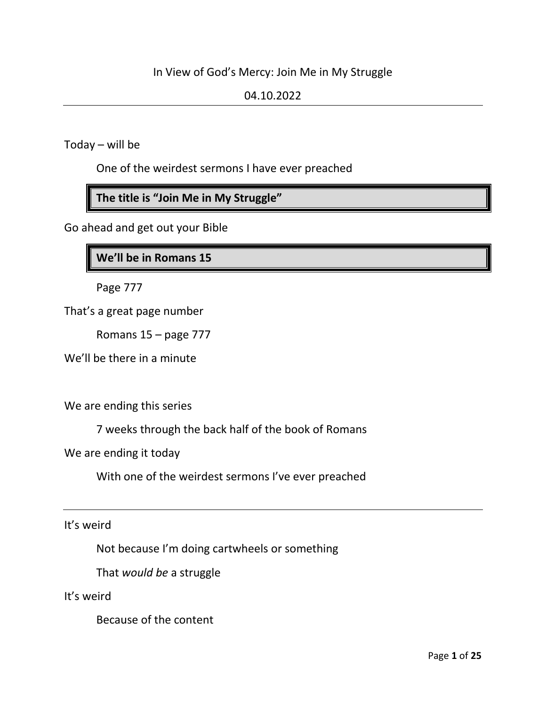# In View of God's Mercy: Join Me in My Struggle

## 04.10.2022

Today – will be

One of the weirdest sermons I have ever preached

**The title is "Join Me in My Struggle"**

Go ahead and get out your Bible

**We'll be in Romans 15**

Page 777

That's a great page number

Romans 15 – page 777

We'll be there in a minute

We are ending this series

7 weeks through the back half of the book of Romans

We are ending it today

With one of the weirdest sermons I've ever preached

It's weird

Not because I'm doing cartwheels or something

That *would be* a struggle

It's weird

Because of the content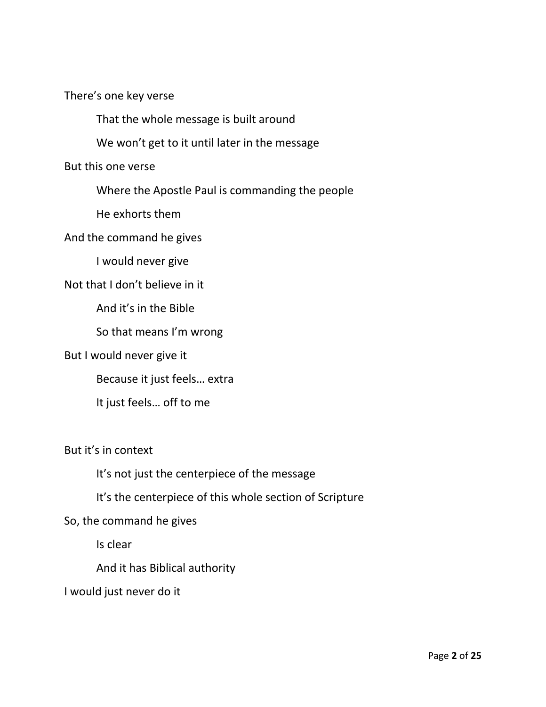There's one key verse

That the whole message is built around

We won't get to it until later in the message

But this one verse

Where the Apostle Paul is commanding the people

He exhorts them

And the command he gives

I would never give

Not that I don't believe in it

And it's in the Bible

So that means I'm wrong

But I would never give it

Because it just feels… extra

It just feels… off to me

But it's in context

It's not just the centerpiece of the message

It's the centerpiece of this whole section of Scripture

So, the command he gives

Is clear

And it has Biblical authority

I would just never do it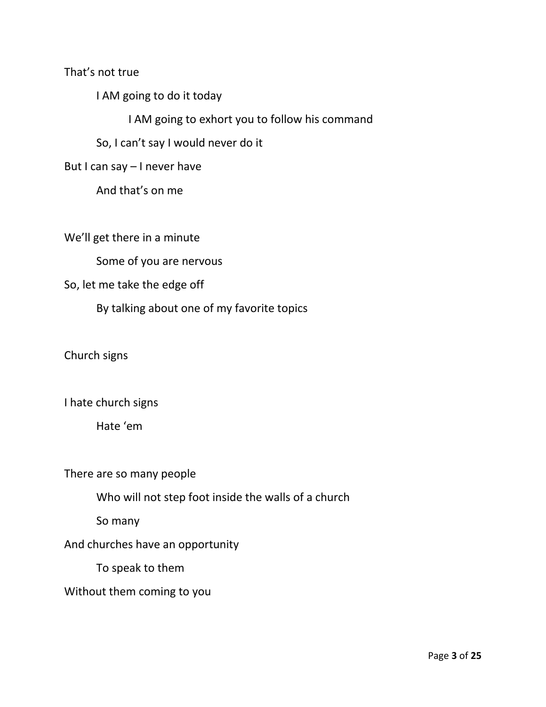That's not true

I AM going to do it today

I AM going to exhort you to follow his command

So, I can't say I would never do it

But I can say – I never have

And that's on me

We'll get there in a minute

Some of you are nervous

## So, let me take the edge off

By talking about one of my favorite topics

Church signs

I hate church signs

Hate 'em

There are so many people

Who will not step foot inside the walls of a church

So many

And churches have an opportunity

To speak to them

#### Without them coming to you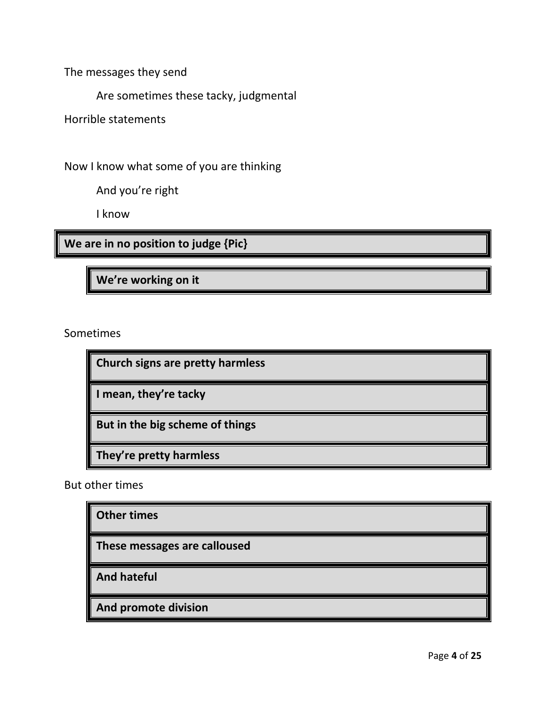The messages they send

Are sometimes these tacky, judgmental

Horrible statements

Now I know what some of you are thinking

And you're right

I know

**We are in no position to judge {Pic}**

**We're working on it**

Sometimes

**Church signs are pretty harmless I mean, they're tacky But in the big scheme of things They're pretty harmless**

But other times

**Other times**

**These messages are calloused**

**And hateful**

**And promote division**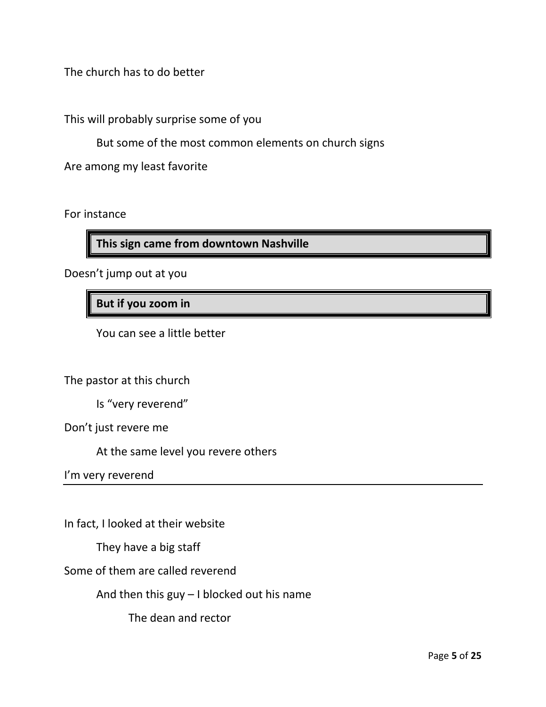The church has to do better

This will probably surprise some of you

But some of the most common elements on church signs

Are among my least favorite

For instance

**This sign came from downtown Nashville**

Doesn't jump out at you

**But if you zoom in**

You can see a little better

The pastor at this church

Is "very reverend"

Don't just revere me

At the same level you revere others

I'm very reverend

In fact, I looked at their website

They have a big staff

Some of them are called reverend

And then this guy – I blocked out his name

The dean and rector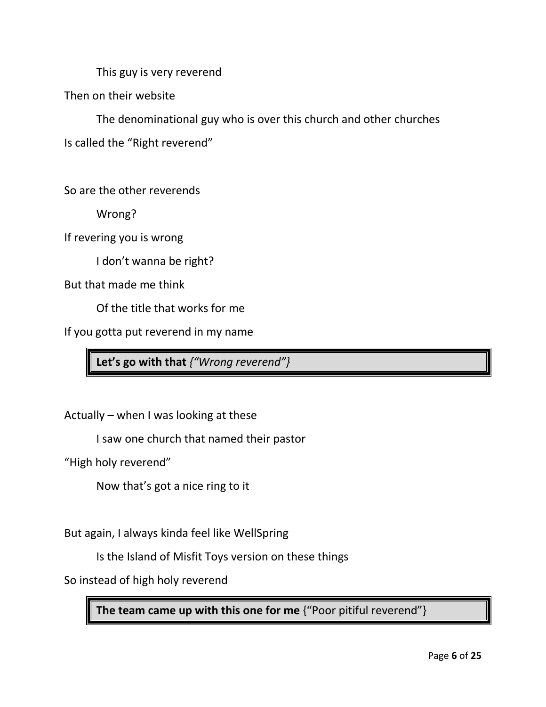This guy is very reverend

Then on their website

The denominational guy who is over this church and other churches

Is called the "Right reverend"

So are the other reverends

Wrong?

If revering you is wrong

I don't wanna be right?

But that made me think

Of the title that works for me

If you gotta put reverend in my name

**Let's go with that** *{"Wrong reverend"}*

Actually – when I was looking at these

I saw one church that named their pastor

"High holy reverend"

Now that's got a nice ring to it

But again, I always kinda feel like WellSpring

Is the Island of Misfit Toys version on these things

So instead of high holy reverend

**The team came up with this one for me** {"Poor pitiful reverend"}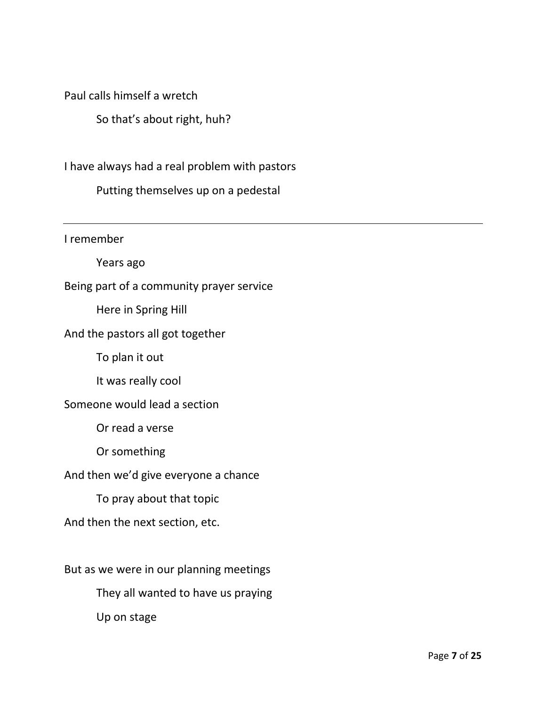Paul calls himself a wretch

So that's about right, huh?

I have always had a real problem with pastors

Putting themselves up on a pedestal

I remember

Years ago

Being part of a community prayer service

Here in Spring Hill

#### And the pastors all got together

To plan it out

It was really cool

#### Someone would lead a section

Or read a verse

Or something

#### And then we'd give everyone a chance

To pray about that topic

# And then the next section, etc.

But as we were in our planning meetings

They all wanted to have us praying

Up on stage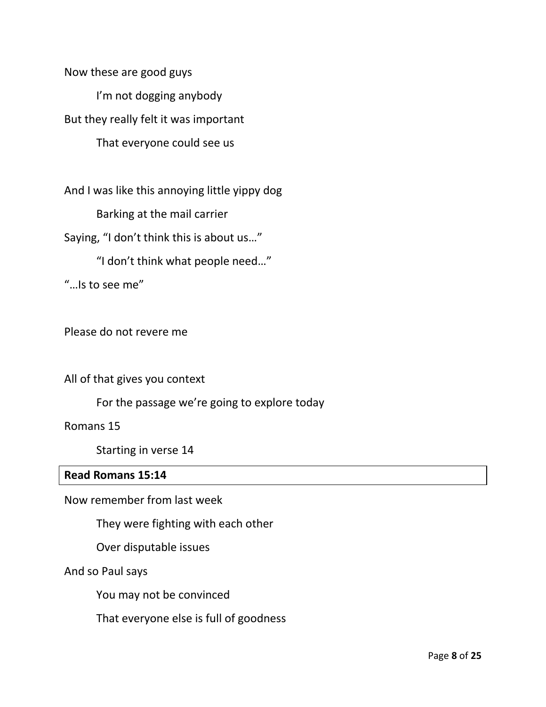Now these are good guys I'm not dogging anybody But they really felt it was important That everyone could see us

And I was like this annoying little yippy dog

Barking at the mail carrier

Saying, "I don't think this is about us…"

"I don't think what people need…"

"…Is to see me"

Please do not revere me

All of that gives you context

For the passage we're going to explore today

Romans 15

Starting in verse 14

#### **Read Romans 15:14**

Now remember from last week

They were fighting with each other

Over disputable issues

And so Paul says

You may not be convinced

That everyone else is full of goodness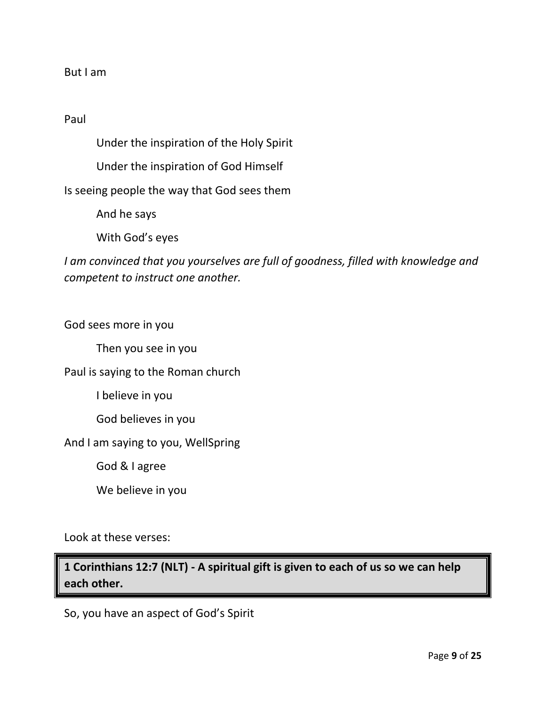#### But I am

### Paul

Under the inspiration of the Holy Spirit

Under the inspiration of God Himself

Is seeing people the way that God sees them

And he says

With God's eyes

*I am convinced that you yourselves are full of goodness, filled with knowledge and competent to instruct one another.*

God sees more in you

Then you see in you

### Paul is saying to the Roman church

I believe in you

God believes in you

And I am saying to you, WellSpring

God & I agree

We believe in you

Look at these verses:

**1 Corinthians 12:7 (NLT) - A spiritual gift is given to each of us so we can help each other.**

So, you have an aspect of God's Spirit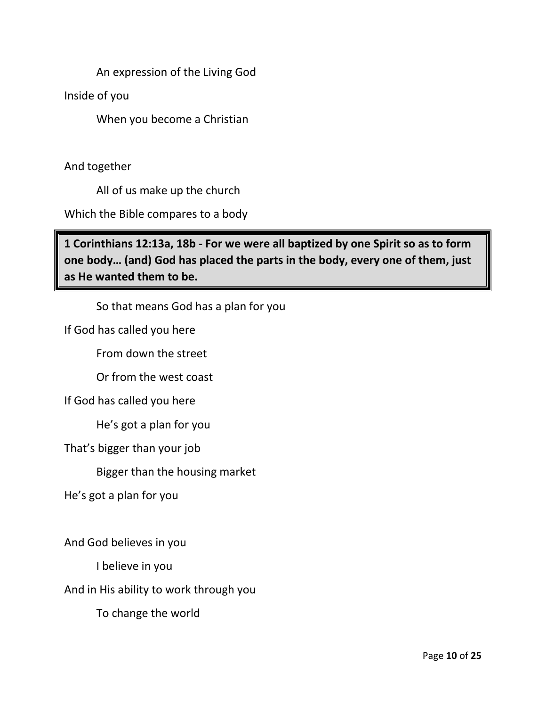An expression of the Living God

Inside of you

When you become a Christian

And together

All of us make up the church

Which the Bible compares to a body

**1 Corinthians 12:13a, 18b - For we were all baptized by one Spirit so as to form one body… (and) God has placed the parts in the body, every one of them, just as He wanted them to be.**

So that means God has a plan for you

If God has called you here

From down the street

Or from the west coast

If God has called you here

He's got a plan for you

That's bigger than your job

Bigger than the housing market

He's got a plan for you

And God believes in you

I believe in you

And in His ability to work through you

To change the world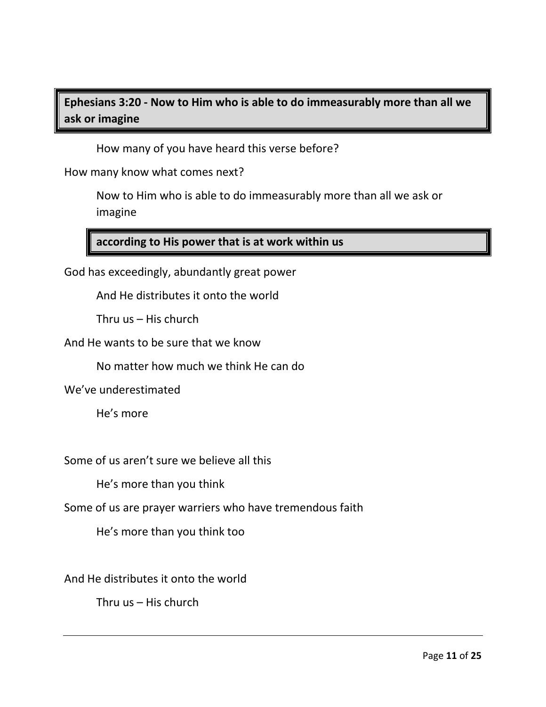# **Ephesians 3:20 - Now to Him who is able to do immeasurably more than all we ask or imagine**

How many of you have heard this verse before?

How many know what comes next?

Now to Him who is able to do immeasurably more than all we ask or imagine

# **according to His power that is at work within us**

God has exceedingly, abundantly great power

And He distributes it onto the world

Thru us – His church

And He wants to be sure that we know

No matter how much we think He can do

We've underestimated

He's more

Some of us aren't sure we believe all this

He's more than you think

Some of us are prayer warriers who have tremendous faith

He's more than you think too

And He distributes it onto the world

Thru us – His church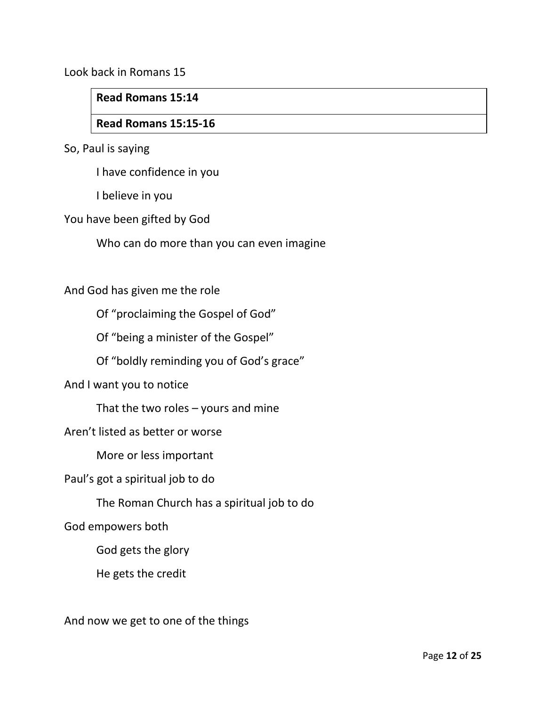Look back in Romans 15

### **Read Romans 15:14**

# **Read Romans 15:15-16**

So, Paul is saying

I have confidence in you

I believe in you

You have been gifted by God

Who can do more than you can even imagine

#### And God has given me the role

Of "proclaiming the Gospel of God"

Of "being a minister of the Gospel"

Of "boldly reminding you of God's grace"

And I want you to notice

That the two roles  $-$  yours and mine

#### Aren't listed as better or worse

More or less important

Paul's got a spiritual job to do

The Roman Church has a spiritual job to do

God empowers both

God gets the glory

He gets the credit

And now we get to one of the things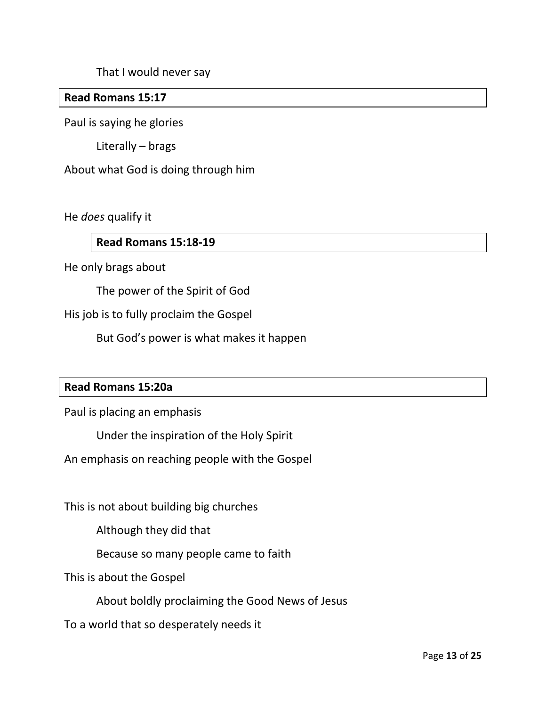That I would never say

## **Read Romans 15:17**

Paul is saying he glories

Literally – brags

About what God is doing through him

He *does* qualify it

# **Read Romans 15:18-19**

He only brags about

The power of the Spirit of God

His job is to fully proclaim the Gospel

But God's power is what makes it happen

#### **Read Romans 15:20a**

Paul is placing an emphasis

Under the inspiration of the Holy Spirit

An emphasis on reaching people with the Gospel

This is not about building big churches

Although they did that

Because so many people came to faith

This is about the Gospel

About boldly proclaiming the Good News of Jesus

To a world that so desperately needs it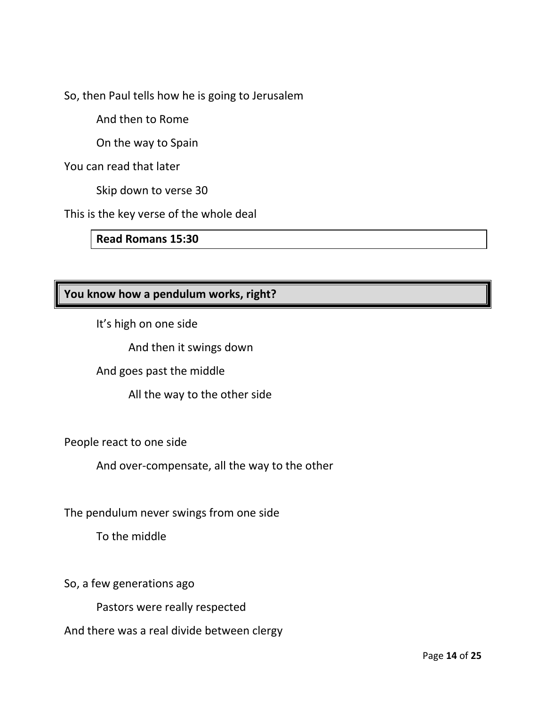So, then Paul tells how he is going to Jerusalem

And then to Rome

On the way to Spain

You can read that later

Skip down to verse 30

This is the key verse of the whole deal

**Read Romans 15:30**

# **You know how a pendulum works, right?**

It's high on one side

And then it swings down

And goes past the middle

All the way to the other side

People react to one side

And over-compensate, all the way to the other

The pendulum never swings from one side

To the middle

So, a few generations ago

Pastors were really respected

And there was a real divide between clergy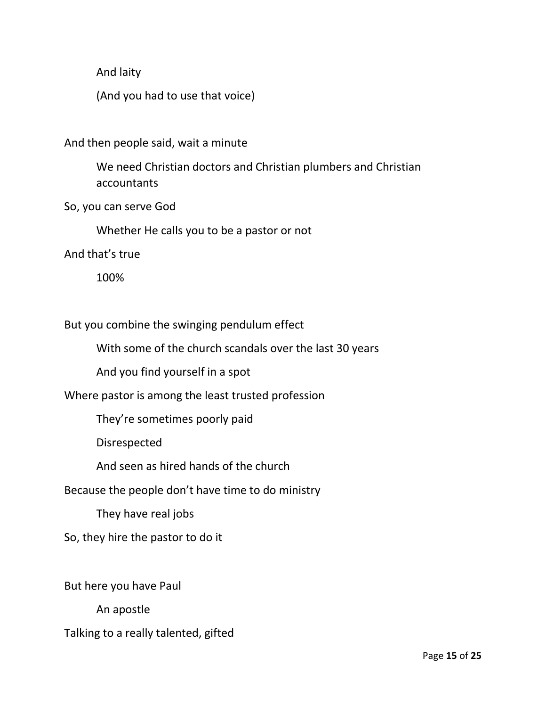And laity

(And you had to use that voice)

And then people said, wait a minute

We need Christian doctors and Christian plumbers and Christian accountants

So, you can serve God

Whether He calls you to be a pastor or not

And that's true

100%

But you combine the swinging pendulum effect

With some of the church scandals over the last 30 years

And you find yourself in a spot

Where pastor is among the least trusted profession

They're sometimes poorly paid

Disrespected

And seen as hired hands of the church

Because the people don't have time to do ministry

They have real jobs

So, they hire the pastor to do it

But here you have Paul

An apostle

Talking to a really talented, gifted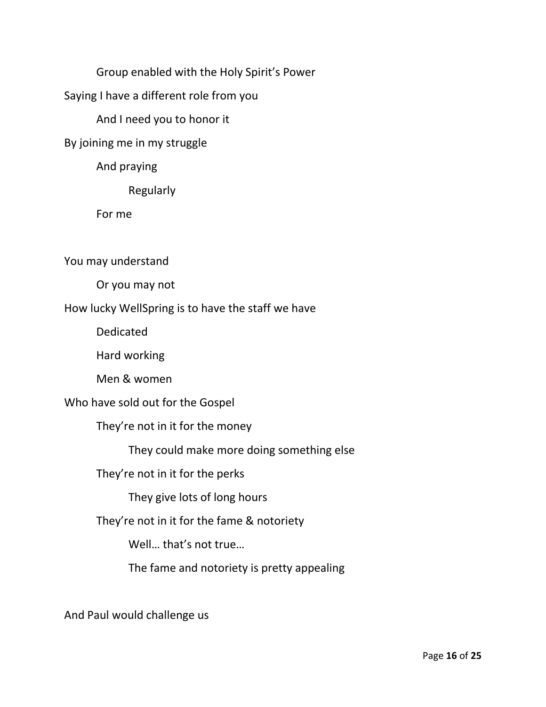Group enabled with the Holy Spirit's Power

Saying I have a different role from you

And I need you to honor it

By joining me in my struggle

And praying

Regularly

For me

You may understand

Or you may not

How lucky WellSpring is to have the staff we have

Dedicated

Hard working

Men & women

Who have sold out for the Gospel

They're not in it for the money

They could make more doing something else

They're not in it for the perks

They give lots of long hours

They're not in it for the fame & notoriety

Well… that's not true…

The fame and notoriety is pretty appealing

And Paul would challenge us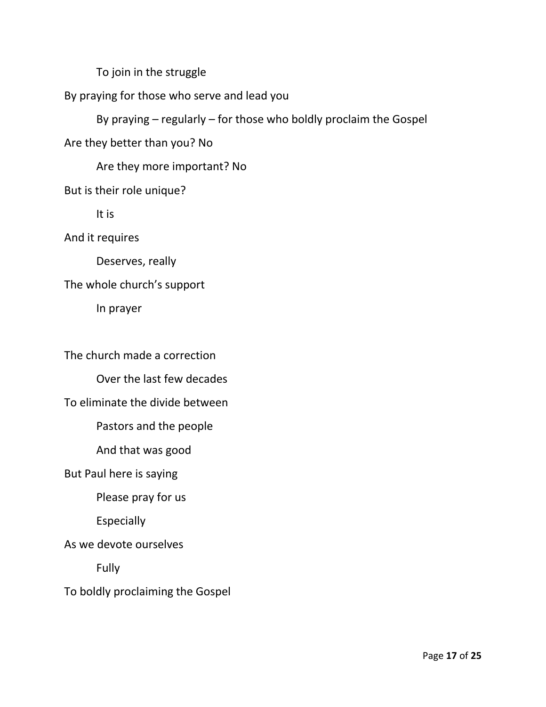To join in the struggle

# By praying for those who serve and lead you

By praying – regularly – for those who boldly proclaim the Gospel

Are they better than you? No

Are they more important? No

# But is their role unique?

It is

And it requires

Deserves, really

# The whole church's support

In prayer

The church made a correction

Over the last few decades

# To eliminate the divide between

Pastors and the people

And that was good

# But Paul here is saying

Please pray for us

Especially

As we devote ourselves

Fully

To boldly proclaiming the Gospel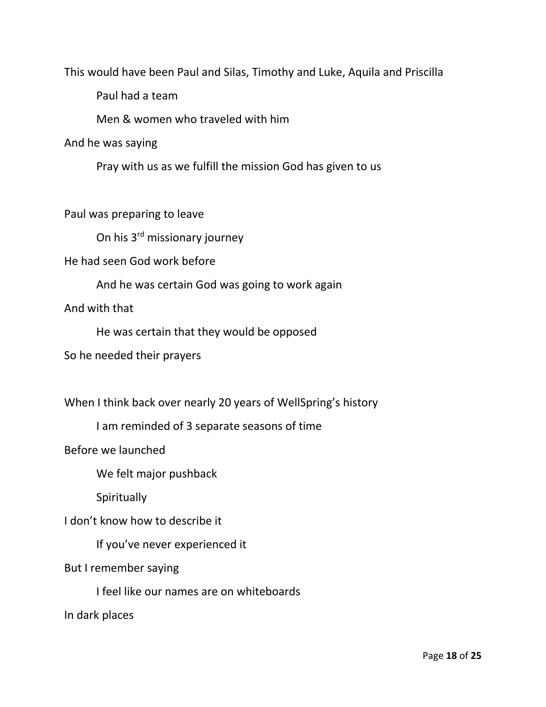This would have been Paul and Silas, Timothy and Luke, Aquila and Priscilla

Paul had a team

Men & women who traveled with him

And he was saying

Pray with us as we fulfill the mission God has given to us

Paul was preparing to leave

On his 3rd missionary journey

He had seen God work before

And he was certain God was going to work again

And with that

He was certain that they would be opposed

So he needed their prayers

When I think back over nearly 20 years of WellSpring's history

I am reminded of 3 separate seasons of time

Before we launched

We felt major pushback

**Spiritually** 

I don't know how to describe it

If you've never experienced it

But I remember saying

I feel like our names are on whiteboards

In dark places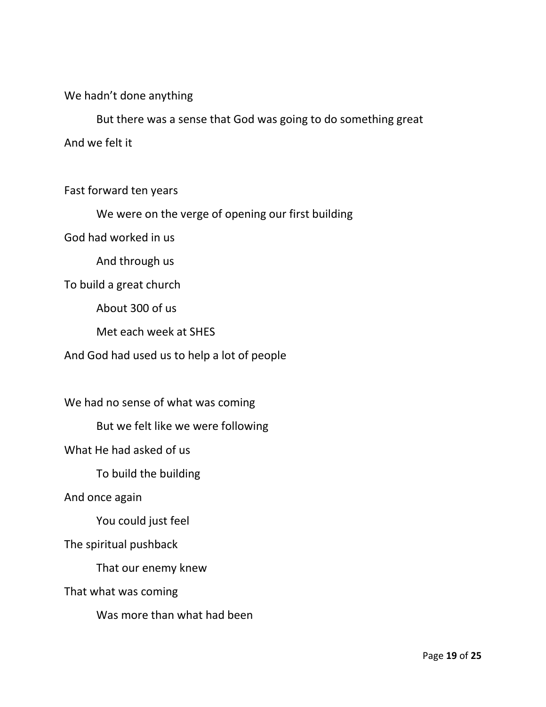We hadn't done anything

But there was a sense that God was going to do something great And we felt it

Fast forward ten years

We were on the verge of opening our first building

God had worked in us

And through us

To build a great church

About 300 of us

Met each week at SHES

And God had used us to help a lot of people

We had no sense of what was coming

But we felt like we were following

What He had asked of us

To build the building

And once again

You could just feel

The spiritual pushback

That our enemy knew

That what was coming

Was more than what had been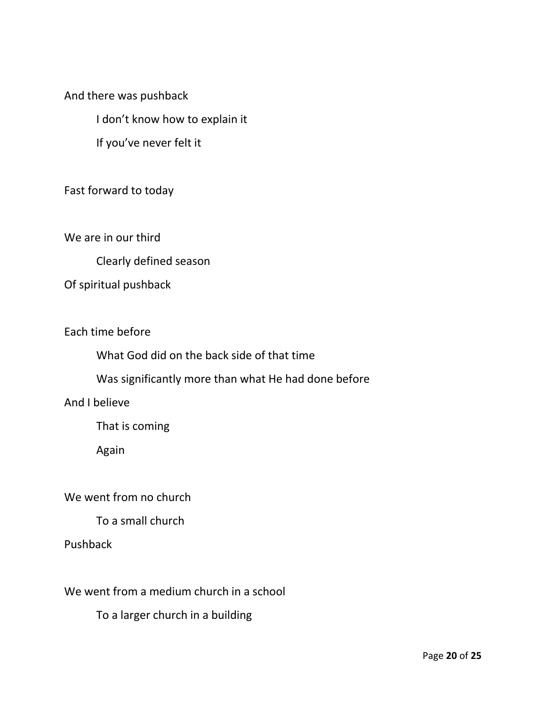And there was pushback

I don't know how to explain it

If you've never felt it

Fast forward to today

We are in our third

Clearly defined season

Of spiritual pushback

Each time before

What God did on the back side of that time

Was significantly more than what He had done before

And I believe

That is coming

Again

We went from no church

To a small church

Pushback

We went from a medium church in a school

To a larger church in a building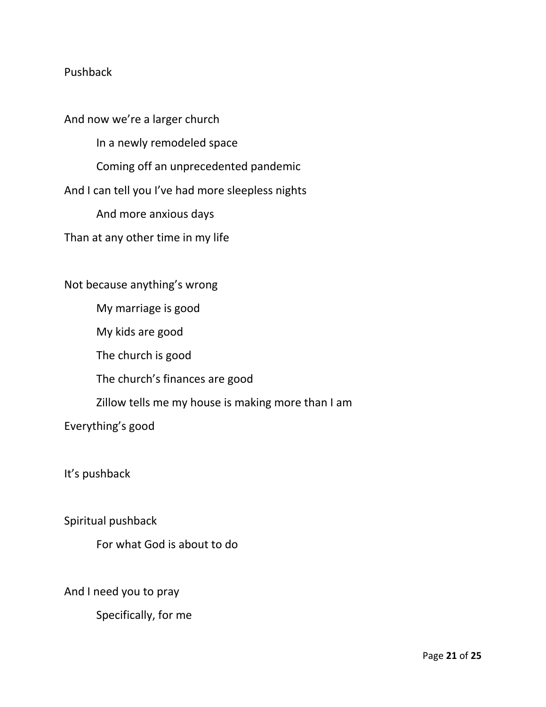## Pushback

And now we're a larger church In a newly remodeled space Coming off an unprecedented pandemic And I can tell you I've had more sleepless nights And more anxious days Than at any other time in my life

Not because anything's wrong My marriage is good My kids are good The church is good The church's finances are good Zillow tells me my house is making more than I am Everything's good

It's pushback

Spiritual pushback

For what God is about to do

And I need you to pray

Specifically, for me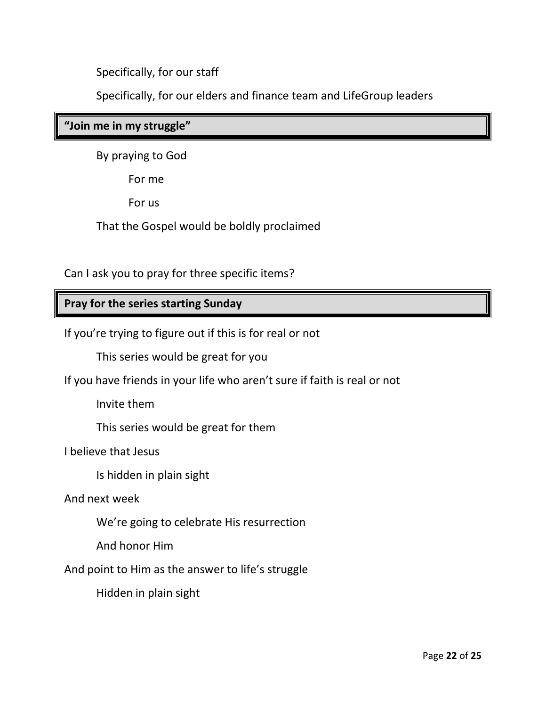Specifically, for our staff

Specifically, for our elders and finance team and LifeGroup leaders

# **"Join me in my struggle"**

By praying to God

For me

For us

That the Gospel would be boldly proclaimed

Can I ask you to pray for three specific items?

# **Pray for the series starting Sunday**

If you're trying to figure out if this is for real or not

This series would be great for you

If you have friends in your life who aren't sure if faith is real or not

Invite them

This series would be great for them

I believe that Jesus

Is hidden in plain sight

And next week

We're going to celebrate His resurrection

And honor Him

And point to Him as the answer to life's struggle

Hidden in plain sight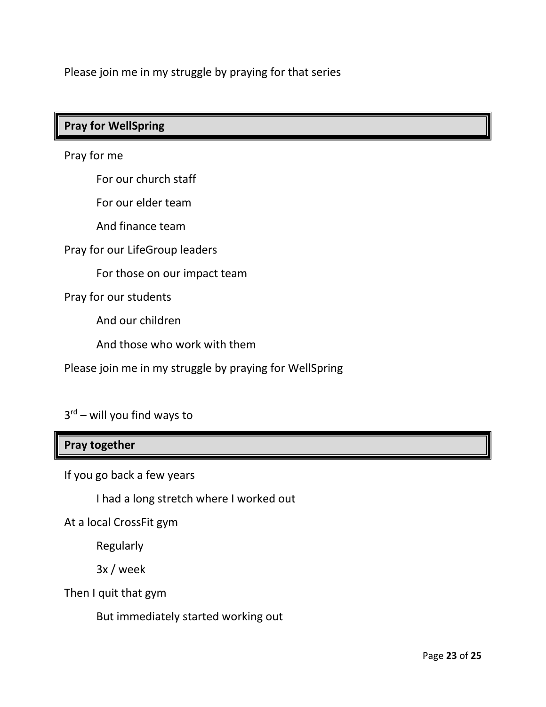Please join me in my struggle by praying for that series

# **Pray for WellSpring**

Pray for me

For our church staff

For our elder team

And finance team

Pray for our LifeGroup leaders

For those on our impact team

Pray for our students

And our children

And those who work with them

Please join me in my struggle by praying for WellSpring

3 rd – will you find ways to

### **Pray together**

If you go back a few years

I had a long stretch where I worked out

At a local CrossFit gym

Regularly

3x / week

Then I quit that gym

But immediately started working out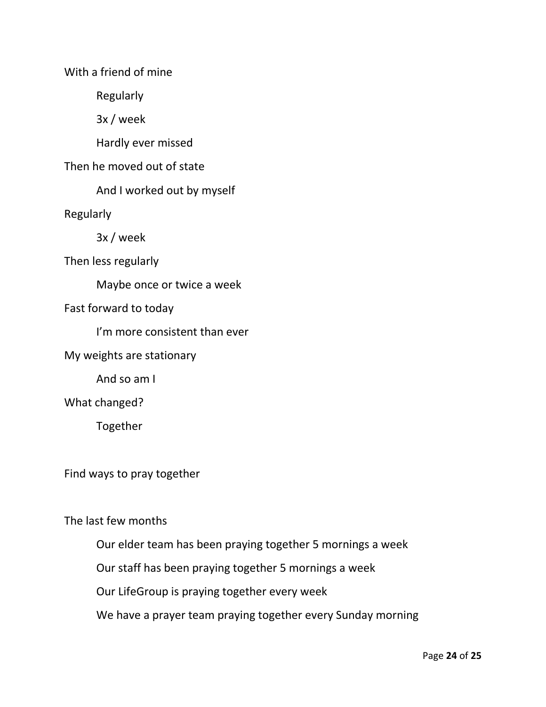With a friend of mine

Regularly

3x / week

Hardly ever missed

Then he moved out of state

And I worked out by myself

Regularly

3x / week

Then less regularly

Maybe once or twice a week

Fast forward to today

I'm more consistent than ever

My weights are stationary

And so am I

What changed?

Together

Find ways to pray together

The last few months

Our elder team has been praying together 5 mornings a week

Our staff has been praying together 5 mornings a week

Our LifeGroup is praying together every week

We have a prayer team praying together every Sunday morning